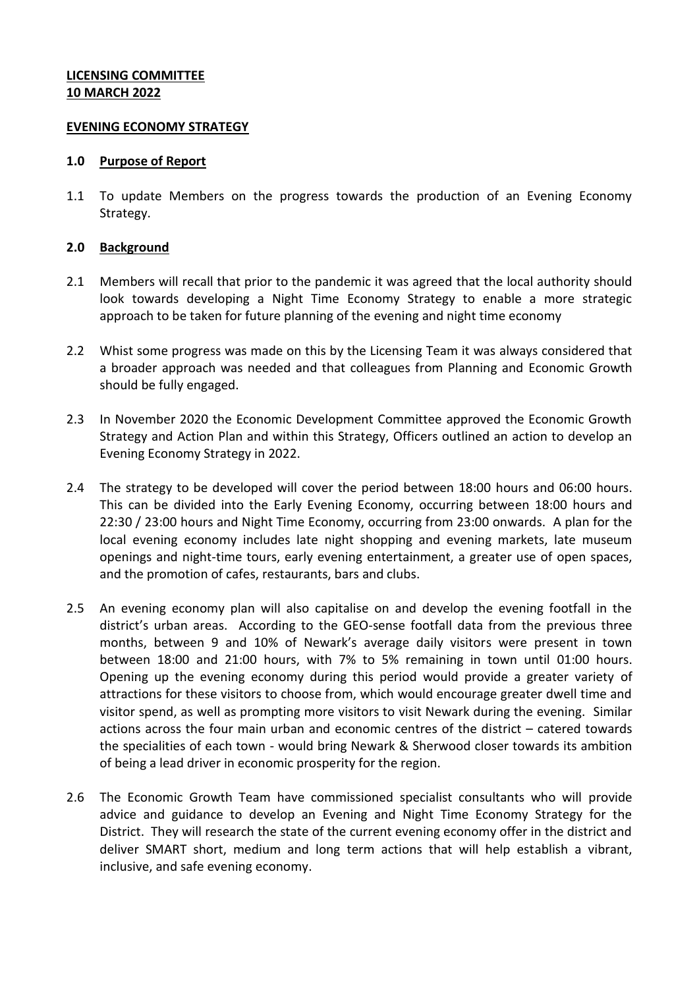## **LICENSING COMMITTEE 10 MARCH 2022**

### **EVENING ECONOMY STRATEGY**

#### **1.0 Purpose of Report**

1.1 To update Members on the progress towards the production of an Evening Economy Strategy.

### **2.0 Background**

- 2.1 Members will recall that prior to the pandemic it was agreed that the local authority should look towards developing a Night Time Economy Strategy to enable a more strategic approach to be taken for future planning of the evening and night time economy
- 2.2 Whist some progress was made on this by the Licensing Team it was always considered that a broader approach was needed and that colleagues from Planning and Economic Growth should be fully engaged.
- 2.3 In November 2020 the Economic Development Committee approved the Economic Growth Strategy and Action Plan and within this Strategy, Officers outlined an action to develop an Evening Economy Strategy in 2022.
- 2.4 The strategy to be developed will cover the period between 18:00 hours and 06:00 hours. This can be divided into the Early Evening Economy, occurring between 18:00 hours and 22:30 / 23:00 hours and Night Time Economy, occurring from 23:00 onwards. A plan for the local evening economy includes late night shopping and evening markets, late museum openings and night-time tours, early evening entertainment, a greater use of open spaces, and the promotion of cafes, restaurants, bars and clubs.
- 2.5 An evening economy plan will also capitalise on and develop the evening footfall in the district's urban areas. According to the GEO-sense footfall data from the previous three months, between 9 and 10% of Newark's average daily visitors were present in town between 18:00 and 21:00 hours, with 7% to 5% remaining in town until 01:00 hours. Opening up the evening economy during this period would provide a greater variety of attractions for these visitors to choose from, which would encourage greater dwell time and visitor spend, as well as prompting more visitors to visit Newark during the evening. Similar actions across the four main urban and economic centres of the district – catered towards the specialities of each town - would bring Newark & Sherwood closer towards its ambition of being a lead driver in economic prosperity for the region.
- 2.6 The Economic Growth Team have commissioned specialist consultants who will provide advice and guidance to develop an Evening and Night Time Economy Strategy for the District. They will research the state of the current evening economy offer in the district and deliver SMART short, medium and long term actions that will help establish a vibrant, inclusive, and safe evening economy.